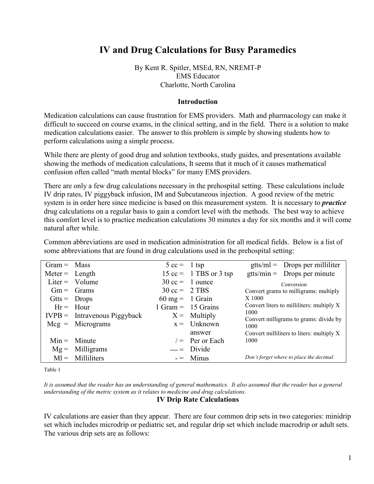# **IV and Drug Calculations for Busy Paramedics**

By Kent R. Spitler, MSEd, RN, NREMT-P EMS Educator Charlotte, North Carolina

#### **Introduction**

Medication calculations can cause frustration for EMS providers. Math and pharmacology can make it difficult to succeed on course exams, in the clinical setting, and in the field. There is a solution to make medication calculations easier. The answer to this problem is simple by showing students how to perform calculations using a simple process.

While there are plenty of good drug and solution textbooks, study guides, and presentations available showing the methods of medication calculations, It seems that it much of it causes mathematical confusion often called "math mental blocks" for many EMS providers.

There are only a few drug calculations necessary in the prehospital setting. These calculations include IV drip rates, IV piggyback infusion, IM and Subcutaneous injection. A good review of the metric system is in order here since medicine is based on this measurement system. It is necessary to *practice* drug calculations on a regular basis to gain a comfort level with the methods. The best way to achieve this comfort level is to practice medication calculations 30 minutes a day for six months and it will come natural after while.

Common abbreviations are used in medication administration for all medical fields. Below is a list of some abbreviations that are found in drug calculations used in the prehospital setting:

| $Gram = Mass$    |                                | $5 \text{ cc} = 1 \text{ tsp}$    |                                                   |                                       | $gtts/ml =$ Drops per milliliter          |
|------------------|--------------------------------|-----------------------------------|---------------------------------------------------|---------------------------------------|-------------------------------------------|
| $Meter = Length$ |                                |                                   | $15 \text{ cc} = 1 \text{ TBS or } 3 \text{ tsp}$ |                                       | $gtts/min =$ Drops per minute             |
|                  | Liter = $Volume$               |                                   | $30 \text{ cc} = 1 \text{ ounce}$                 |                                       | Conversion                                |
|                  | $Gm =$ Grams                   | $30 \text{ cc} = 2 \text{ TBS}$   |                                                   | Convert grams to milligrams: multiply |                                           |
| $G$ tts = Drops  |                                | $60 \text{ mg} = 1 \text{ Grain}$ |                                                   | X 1000                                |                                           |
|                  | $Hr = Hour$                    |                                   | $1 \text{ Gram} = 15 \text{ Grains}$              |                                       | Convert liters to milliliters: multiply X |
|                  | $IVPB = Intravenous Piggyback$ |                                   | $X =$ Multiply                                    | 1000                                  | Convert milligrams to grams: divide by    |
|                  | $Mcg = Micrograms$             |                                   | $x =$ Unknown                                     | 1000                                  |                                           |
|                  |                                |                                   | answer                                            |                                       | Convert milliliters to liters: multiply X |
|                  | $Min =$ Minute                 |                                   | $\ell$ Per or Each                                | 1000                                  |                                           |
| $Mg =$           | Milligrams                     |                                   | $\equiv$ Divide                                   |                                       |                                           |
|                  | $M =$ Milliliters              |                                   | $=$ Minus                                         |                                       | Don't forget where to place the decimal   |

Table 1

*It is assumed that the reader has an understanding of general mathematics. It also assumed that the reader has a general understanding of the metric system as it relates to medicine and drug calculations.*

#### **IV Drip Rate Calculations**

IV calculations are easier than they appear. There are four common drip sets in two categories: minidrip set which includes microdrip or pediatric set, and regular drip set which include macrodrip or adult sets. The various drip sets are as follows: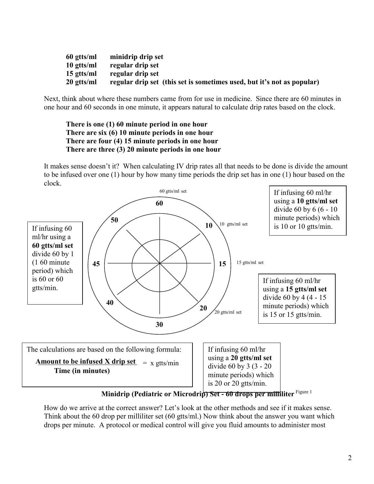| 60 gtts/ml            | minidrip drip set                                                      |
|-----------------------|------------------------------------------------------------------------|
| $10 \text{ g}$ tts/ml | regular drip set                                                       |
| $15 \text{ g}$ tts/ml | regular drip set                                                       |
| 20 gtts/ml            | regular drip set (this set is sometimes used, but it's not as popular) |

Next, think about where these numbers came from for use in medicine. Since there are 60 minutes in one hour and 60 seconds in one minute, it appears natural to calculate drip rates based on the clock.

**There is one (1) 60 minute period in one hour There are six (6) 10 minute periods in one hour There are four (4) 15 minute periods in one hour There are three (3) 20 minute periods in one hour**

It makes sense doesn't it? When calculating IV drip rates all that needs to be done is divide the amount to be infused over one (1) hour by how many time periods the drip set has in one (1) hour based on the clock.



**Minidrip (Pediatric or Microdrip) Set - 60 drops per milliliter** Figure 1

How do we arrive at the correct answer? Let's look at the other methods and see if it makes sense. Think about the 60 drop per milliliter set (60 gtts/ml.) Now think about the answer you want which drops per minute. A protocol or medical control will give you fluid amounts to administer most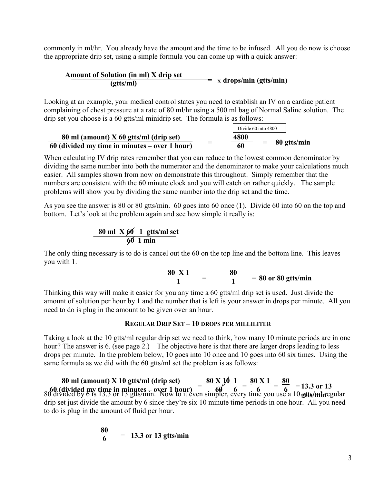commonly in ml/hr. You already have the amount and the time to be infused. All you do now is choose the appropriate drip set, using a simple formula you can come up with a quick answer:

# **Amount of Solution (in ml) X drip set**  $\frac{\text{(atron in m)} + \text{atrop set}}{\text{exts/ml}}$  **z**  $\frac{\text{atrop} \times \text{cm}}{\text{atrop} \times \text{cmil}}$

Looking at an example, your medical control states you need to establish an IV on a cardiac patient complaining of chest pressure at a rate of 80 ml/hr using a 500 ml bag of Normal Saline solution. The drip set you choose is a 60 gtts/ml minidrip set. The formula is as follows:

|                                                 |   | Divide 60 into 4800 |     |             |
|-------------------------------------------------|---|---------------------|-----|-------------|
| 80 ml (amount) $X$ 60 gtts/ml (drip set)        |   | 4800                |     |             |
| $60$ (divided my time in minutes – over 1 hour) | _ | 60                  | $=$ | 80 gtts/min |

When calculating IV drip rates remember that you can reduce to the lowest common denominator by dividing the same number into both the numerator and the denominator to make your calculations much easier. All samples shown from now on demonstrate this throughout. Simply remember that the numbers are consistent with the 60 minute clock and you will catch on rather quickly. The sample problems will show you by dividing the same number into the drip set and the time.

As you see the answer is 80 or 80 gtts/min. 60 goes into 60 once (1). Divide 60 into 60 on the top and bottom. Let's look at the problem again and see how simple it really is:

$$
\frac{80 \text{ ml } X 60}{60 \text{ l min}} \frac{1 \text{ g}tts/ml set}{}
$$

The only thing necessary is to do is cancel out the 60 on the top line and the bottom line. This leaves you with 1.

$$
\frac{80 \text{ X 1}}{1} = \frac{80}{1} = 80 \text{ or } 80 \text{ g} \text{tts/min}
$$

Thinking this way will make it easier for you any time a 60 gtts/ml drip set is used. Just divide the amount of solution per hour by 1 and the number that is left is your answer in drops per minute. All you need to do is plug in the amount to be given over an hour.

## **REGULAR DRIP SET – 10 DROPS PER MILLILITER**

Taking a look at the 10 gtts/ml regular drip set we need to think, how many 10 minute periods are in one hour? The answer is 6. (see page 2.) The objective here is that there are larger drops leading to less drops per minute. In the problem below, 10 goes into 10 once and 10 goes into 60 six times. Using the same formula as we did with the 60 gtts/ml set the problem is as follows:

80 divided by 6 is 13.3 or 13 gtts/min. Now to it even simpler, every time you use a 10 **gtts/mine**gular drip set just divide the amount by 6 since they're six 10 minute time periods in one hour. All you need to do is plug in the amount of fluid per hour. **80 ml (amount) X 10 gtts/ml (drip set)**  $=$  **80 X 10 1**<br> **60 (divided my time in minutes – over 1 hour)**  $=$  **60 6 6 6**  $\frac{80 \text{ X 1}}{6} = \frac{80}{6} = 13.3 \text{ or } 13$ **gtts/min**

$$
\frac{80}{6} = 13.3 \text{ or } 13 \text{ g} \text{tts/min}
$$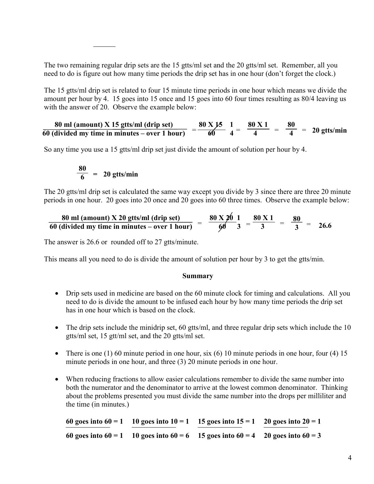The two remaining regular drip sets are the 15 gtts/ml set and the 20 gtts/ml set. Remember, all you need to do is figure out how many time periods the drip set has in one hour (don't forget the clock.)

The 15 gtts/ml drip set is related to four 15 minute time periods in one hour which means we divide the amount per hour by 4. 15 goes into 15 once and 15 goes into 60 four times resulting as 80/4 leaving us with the answer of 20. Observe the example below:

**80 ml (amount) X 15 gtts/ml (drip set) 60 (divided my time in minutes – over 1 hour)**  $=\frac{80 \text{ X }15}{60}$   $\frac{1}{4}$  =  $\frac{80 \text{ X }1}{4}$ **80**  $= \frac{1}{4} = 20 \text{ g} \cdot \text{tr} \cdot \text{s}$ 

So any time you use a 15 gtts/ml drip set just divide the amount of solution per hour by 4.

$$
\frac{80}{6} = 20 \text{ g} \cdot \text{trs/min}
$$

The 20 gtts/ml drip set is calculated the same way except you divide by 3 since there are three 20 minute periods in one hour. 20 goes into 20 once and 20 goes into 60 three times. Observe the example below:

$$
\frac{80 \text{ ml (amount) X 20 g tts/ml (drip set)}}{60 \text{ (divided my time in minutes - over 1 hour)}} = \frac{80 \text{ X } 20}{60} = \frac{80 \text{ X } 1}{3} = \frac{80 \text{ X } 1}{3} = \frac{80}{3} = 26.6
$$

The answer is 26.6 or rounded off to 27 gtts/minute.

This means all you need to do is divide the amount of solution per hour by 3 to get the gtts/min.

#### **Summary**

- Drip sets used in medicine are based on the 60 minute clock for timing and calculations. All you need to do is divide the amount to be infused each hour by how many time periods the drip set has in one hour which is based on the clock.
- The drip sets include the minidrip set, 60 gtts/ml, and three regular drip sets which include the 10 gtts/ml set, 15 gtt/ml set, and the 20 gtts/ml set.
- There is one (1) 60 minute period in one hour, six (6) 10 minute periods in one hour, four (4) 15 minute periods in one hour, and three (3) 20 minute periods in one hour.
- When reducing fractions to allow easier calculations remember to divide the same number into both the numerator and the denominator to arrive at the lowest common denominator. Thinking about the problems presented you must divide the same number into the drops per milliliter and the time (in minutes.)

60 goes into  $60 = 1$  10 goes into  $10 = 1$  15 goes into  $15 = 1$  20 goes into  $20 = 1$ **60 goes into 60 = 1 10 goes into 60 = 6 15 goes into 60 = 4 20 goes into 60 = 3**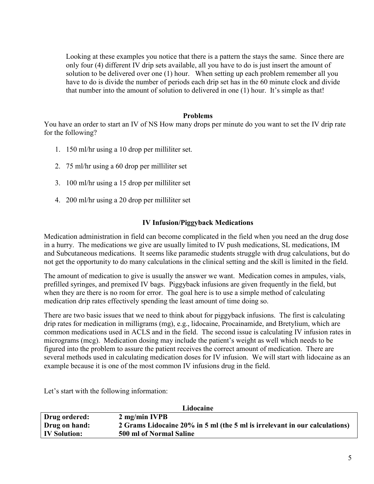Looking at these examples you notice that there is a pattern the stays the same. Since there are only four (4) different IV drip sets available, all you have to do is just insert the amount of solution to be delivered over one (1) hour. When setting up each problem remember all you have to do is divide the number of periods each drip set has in the 60 minute clock and divide that number into the amount of solution to delivered in one (1) hour. It's simple as that!

#### **Problems**

You have an order to start an IV of NS How many drops per minute do you want to set the IV drip rate for the following?

- 1. 150 ml/hr using a 10 drop per milliliter set.
- 2. 75 ml/hr using a 60 drop per milliliter set
- 3. 100 ml/hr using a 15 drop per milliliter set
- 4. 200 ml/hr using a 20 drop per milliliter set

### **IV Infusion/Piggyback Medications**

Medication administration in field can become complicated in the field when you need an the drug dose in a hurry. The medications we give are usually limited to IV push medications, SL medications, IM and Subcutaneous medications. It seems like paramedic students struggle with drug calculations, but do not get the opportunity to do many calculations in the clinical setting and the skill is limited in the field.

The amount of medication to give is usually the answer we want. Medication comes in ampules, vials, prefilled syringes, and premixed IV bags. Piggyback infusions are given frequently in the field, but when they are there is no room for error. The goal here is to use a simple method of calculating medication drip rates effectively spending the least amount of time doing so.

There are two basic issues that we need to think about for piggyback infusions. The first is calculating drip rates for medication in milligrams (mg), e.g., lidocaine, Procainamide, and Bretylium, which are common medications used in ACLS and in the field. The second issue is calculating IV infusion rates in micrograms (mcg). Medication dosing may include the patient's weight as well which needs to be figured into the problem to assure the patient receives the correct amount of medication. There are several methods used in calculating medication doses for IV infusion. We will start with lidocaine as an example because it is one of the most common IV infusions drug in the field.

Let's start with the following information:

| Lidocaine           |                                                                            |  |
|---------------------|----------------------------------------------------------------------------|--|
| Drug ordered:       | $2$ mg/min IVPB                                                            |  |
| Drug on hand:       | 2 Grams Lidocaine 20% in 5 ml (the 5 ml is irrelevant in our calculations) |  |
| <b>IV Solution:</b> | 500 ml of Normal Saline                                                    |  |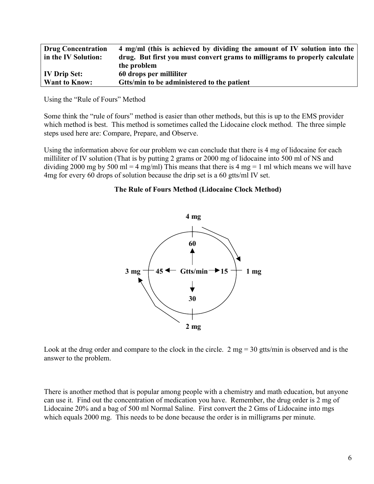| <b>Drug Concentration</b> | 4 mg/ml (this is achieved by dividing the amount of IV solution into the   |
|---------------------------|----------------------------------------------------------------------------|
| in the IV Solution:       | drug. But first you must convert grams to milligrams to properly calculate |
|                           | the problem                                                                |
| <b>IV Drip Set:</b>       | 60 drops per milliliter                                                    |
| <b>Want to Know:</b>      | Gtts/min to be administered to the patient                                 |

Using the "Rule of Fours" Method

Some think the "rule of fours" method is easier than other methods, but this is up to the EMS provider which method is best. This method is sometimes called the Lidocaine clock method. The three simple steps used here are: Compare, Prepare, and Observe.

Using the information above for our problem we can conclude that there is 4 mg of lidocaine for each milliliter of IV solution (That is by putting 2 grams or 2000 mg of lidocaine into 500 ml of NS and dividing 2000 mg by 500 ml = 4 mg/ml) This means that there is 4 mg = 1 ml which means we will have 4mg for every 60 drops of solution because the drip set is a 60 gtts/ml IV set.

#### **The Rule of Fours Method (Lidocaine Clock Method)**



Look at the drug order and compare to the clock in the circle. 2 mg = 30 gtts/min is observed and is the answer to the problem.

There is another method that is popular among people with a chemistry and math education, but anyone can use it. Find out the concentration of medication you have. Remember, the drug order is 2 mg of Lidocaine 20% and a bag of 500 ml Normal Saline. First convert the 2 Gms of Lidocaine into mgs which equals 2000 mg. This needs to be done because the order is in milligrams per minute.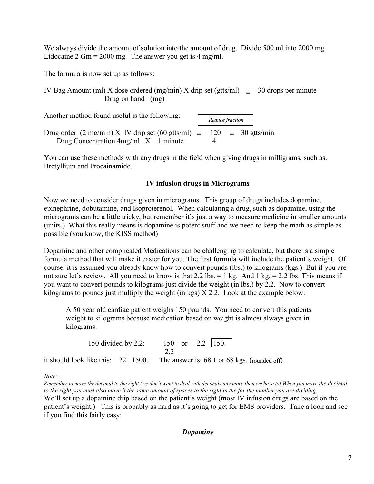We always divide the amount of solution into the amount of drug. Divide 500 ml into 2000 mg Lidocaine  $2 \text{ Gm} = 2000 \text{ mg}$ . The answer you get is 4 mg/ml.

The formula is now set up as follows:

IV Bag Amount (ml)  $\overline{X}$  dose ordered (mg/min)  $\overline{X}$  drip set (gtts/ml) = 30 drops per minute Drug on hand (mg)

Another method found useful is the following: Drug order  $(2 \text{ mg/min}) \times$  IV drip set  $(60 \text{ gtts/ml}) = 120 = 30 \text{ gtts/min}$ Drug Concentration  $4mg/ml \ X \ 1$  minute  *Reduce fraction*  $120 = 30$  gtts/min

You can use these methods with any drugs in the field when giving drugs in milligrams, such as. Bretyllium and Procainamide..

# **IV infusion drugs in Micrograms**

Now we need to consider drugs given in micrograms. This group of drugs includes dopamine, epinephrine, dobutamine, and Isoproterenol. When calculating a drug, such as dopamine, using the micrograms can be a little tricky, but remember it's just a way to measure medicine in smaller amounts (units.) What this really means is dopamine is potent stuff and we need to keep the math as simple as possible (you know, the KISS method)

Dopamine and other complicated Medications can be challenging to calculate, but there is a simple formula method that will make it easier for you. The first formula will include the patient's weight. Of course, it is assumed you already know how to convert pounds (lbs.) to kilograms (kgs.) But if you are not sure let's review. All you need to know is that  $2.2$  lbs. = 1 kg. And 1 kg. =  $2.2$  lbs. This means if you want to convert pounds to kilograms just divide the weight (in lbs.) by 2.2. Now to convert kilograms to pounds just multiply the weight (in kgs) X 2.2. Look at the example below:

A 50 year old cardiac patient weighs 150 pounds. You need to convert this patients weight to kilograms because medication based on weight is almost always given in kilograms.

150 divided by 2.2:  $\frac{150}{150}$  or 2.2  $\sqrt{150}$ . 2.2 it should look like this:  $22.\overline{1500}$ . The answer is: 68.1 or 68 kgs. (rounded off)

*Note:* 

*Remember to move the decimal to the right (we don't want to deal with decimals any more than we have to) When you move the decimal to the right you must also move it the same amount of spaces to the right in the for the number you are dividing.* We'll set up a dopamine drip based on the patient's weight (most IV infusion drugs are based on the patient's weight.) This is probably as hard as it's going to get for EMS providers. Take a look and see if you find this fairly easy:

*Dopamine*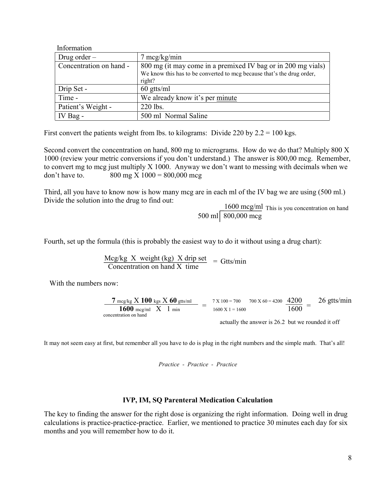| mformation              |                                                                                                                                                  |
|-------------------------|--------------------------------------------------------------------------------------------------------------------------------------------------|
| Drug order $-$          | $7 \text{~mcg/kg/min}$                                                                                                                           |
| Concentration on hand - | 800 mg (it may come in a premixed IV bag or in 200 mg vials)<br>We know this has to be converted to mcg because that's the drug order,<br>right? |
| Drip Set -              | $60$ gtts/ml                                                                                                                                     |
| Time -                  | We already know it's per minute                                                                                                                  |
| Patient's Weight -      | 220 lbs.                                                                                                                                         |
| IV Bag -                | 500 ml Normal Saline                                                                                                                             |

First convert the patients weight from lbs. to kilograms: Divide 220 by  $2.2 = 100$  kgs.

Second convert the concentration on hand, 800 mg to micrograms. How do we do that? Multiply 800 X 1000 (review your metric conversions if you don't understand.) The answer is 800,00 mcg. Remember, to convert mg to mcg just multiply X 1000. Anyway we don't want to messing with decimals when we don't have to.  $800 \text{ mg X } 1000 = 800,000 \text{ mg}$ 

Third, all you have to know now is how many mcg are in each ml of the IV bag we are using (500 ml.) Divide the solution into the drug to find out:

1600 mcg/ml This is you concentration on hand 500 ml  $\sqrt{800,000 \text{ mcg}}$ 

Fourth, set up the formula (this is probably the easiest way to do it without using a drug chart):

 Mcg/kg X weight (kg) X drip set Concentration on hand X time = Gtts/min

With the numbers now:

 $\mathbf{r} \cdot \mathbf{c}$  is the set

$$
\frac{7 \text{ mcg/kg X } 100 \text{ kg} \times 60 \text{ gfts/ml}}{1600 \text{ mcg/ml X } 1 \text{ min}} = \frac{7 \times 100 = 700}{1600 \times 1 = 1600} \frac{700 \times 60 = 4200}{1600} = \frac{26 \text{ gfts/min}}{1600}
$$

actually the answer is 26.2 but we rounded it off

It may not seem easy at first, but remember all you have to do is plug in the right numbers and the simple math. That's all!

*Practice - Practice - Practice*

#### **IVP, IM, SQ Parenteral Medication Calculation**

The key to finding the answer for the right dose is organizing the right information. Doing well in drug calculations is practice-practice-practice. Earlier, we mentioned to practice 30 minutes each day for six months and you will remember how to do it.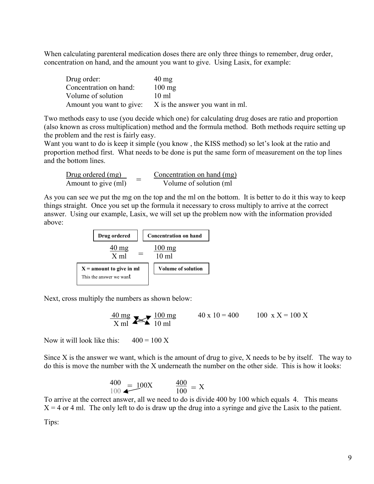When calculating parenteral medication doses there are only three things to remember, drug order, concentration on hand, and the amount you want to give. Using Lasix, for example:

| Drug order:            | $40 \text{ mg}$                                          |
|------------------------|----------------------------------------------------------|
| Concentration on hand: | $100 \text{ mg}$                                         |
| Volume of solution     | $10 \text{ ml}$                                          |
|                        | Amount you want to give: X is the answer you want in ml. |

Two methods easy to use (you decide which one) for calculating drug doses are ratio and proportion (also known as cross multiplication) method and the formula method. Both methods require setting up the problem and the rest is fairly easy.

Want you want to do is keep it simple (you know , the KISS method) so let's look at the ratio and proportion method first. What needs to be done is put the same form of measurement on the top lines and the bottom lines.

Drug ordered (mg) Concentration on hand (mg) Amount to give  $(ml)$   $\qquad \qquad$  Volume of solution  $(ml)$ =

As you can see we put the mg on the top and the ml on the bottom. It is better to do it this way to keep things straight. Once you set up the formula it necessary to cross multiply to arrive at the correct answer. Using our example, Lasix, we will set up the problem now with the information provided above:



Next, cross multiply the numbers as shown below:

$$
\frac{40 \text{ mg}}{X \text{ ml}} \sum \frac{100 \text{ mg}}{10 \text{ ml}} \qquad 40 \text{ x } 10 = 400 \qquad 100 \text{ x } X = 100 \text{ X}
$$

Now it will look like this:  $400 = 100 \text{ X}$ 

Since X is the answer we want, which is the amount of drug to give, X needs to be by itself. The way to do this is move the number with the X underneath the number on the other side. This is how it looks:

$$
\frac{400}{100} = 100X \qquad \frac{400}{100} = X
$$

To arrive at the correct answer, all we need to do is divide 400 by 100 which equals 4. This means  $X = 4$  or 4 ml. The only left to do is draw up the drug into a syringe and give the Lasix to the patient. Tips: